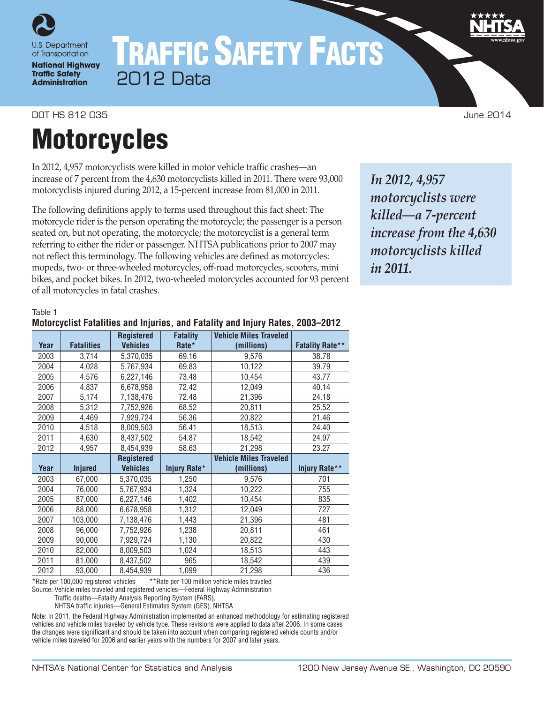

**National Highway Traffic Safety Administration** 

# TRAFFIC SAFETY FACTS 2012 Data

DOT HS 812 035 June 2014

## Motorcycles

In 2012, 4,957 motorcyclists were killed in motor vehicle traffic crashes—an increase of 7 percent from the 4,630 motorcyclists killed in 2011. There were 93,000 motorcyclists injured during 2012, a 15-percent increase from 81,000 in 2011.

The following definitions apply to terms used throughout this fact sheet: The motorcycle rider is the person operating the motorcycle; the passenger is a person seated on, but not operating, the motorcycle; the motorcyclist is a general term referring to either the rider or passenger. NHTSA publications prior to 2007 may not reflect this terminology. The following vehicles are defined as motorcycles: mopeds, two- or three-wheeled motorcycles, off-road motorcycles, scooters, mini bikes, and pocket bikes. In 2012, two-wheeled motorcycles accounted for 93 percent of all motorcycles in fatal crashes.

*In 2012, 4,957 motorcyclists were killed—a 7-percent increase from the 4,630 motorcyclists killed in 2011.*

Table 1

## **Motorcyclist Fatalities and Injuries, and Fatality and Injury Rates, 2003–2012**

| Year | <b>Fatalities</b> | <b>Registered</b><br><b>Vehicles</b> | <b>Fatality</b><br>Rate* | <b>Vehicle Miles Traveled</b><br>(millions) | <b>Fatality Rate**</b> |
|------|-------------------|--------------------------------------|--------------------------|---------------------------------------------|------------------------|
| 2003 | 3,714             | 5,370,035                            | 69.16                    | 9,576                                       | 38.78                  |
| 2004 | 4,028             | 5,767,934                            | 69.83                    | 10,122                                      | 39.79                  |
| 2005 | 4,576             | 6,227,146                            | 73.48                    | 10,454                                      | 43.77                  |
| 2006 | 4,837             | 6,678,958                            | 72.42                    | 12,049                                      | 40.14                  |
| 2007 | 5,174             | 7,138,476                            | 72.48                    | 21,396                                      | 24.18                  |
| 2008 | 5,312             | 7,752,926                            | 68.52                    | 20,811                                      | 25.52                  |
| 2009 | 4,469             | 7,929,724                            | 56.36                    | 20,822                                      | 21.46                  |
| 2010 | 4,518             | 8,009,503                            | 56.41                    | 18,513                                      | 24.40                  |
| 2011 | 4,630             | 8,437,502                            | 54.87                    | 18,542                                      | 24.97                  |
| 2012 | 4,957             | 8,454,939                            | 58.63                    | 21,298                                      | 23.27                  |
|      |                   |                                      |                          |                                             |                        |
|      |                   | <b>Registered</b>                    |                          | <b>Vehicle Miles Traveled</b>               |                        |
| Year | <b>Injured</b>    | <b>Vehicles</b>                      | Injury Rate*             | (millions)                                  | Injury Rate**          |
| 2003 | 67,000            | 5,370,035                            | 1,250                    | 9,576                                       | 701                    |
| 2004 | 76,000            | 5,767,934                            | 1,324                    | 10,222                                      | 755                    |
| 2005 | 87,000            | 6,227,146                            | 1,402                    | 10,454                                      | 835                    |
| 2006 | 88,000            | 6,678,958                            | 1,312                    | 12,049                                      | 727                    |
| 2007 | 103,000           | 7,138,476                            | 1,443                    | 21,396                                      | 481                    |
| 2008 | 96,000            | 7,752,926                            | 1,238                    | 20,811                                      | 461                    |
| 2009 | 90,000            | 7,929,724                            | 1,130                    | 20,822                                      | 430                    |
| 2010 | 82,000            | 8,009,503                            | 1,024                    | 18,513                                      | 443                    |
| 2011 | 81,000            | 8,437,502                            | 965                      | 18,542                                      | 439                    |

\*Rate per 100,000 registered vehicles \*\*Rate per 100 million vehicle miles traveled

Source: Vehicle miles traveled and registered vehicles—Federal Highway Administration

Traffic deaths—Fatality Analysis Reporting System (FARS),

NHTSA traffic injuries—General Estimates System (GES), NHTSA

Note: In 2011, the Federal Highway Administration implemented an enhanced methodology for estimating registered vehicles and vehicle miles traveled by vehicle type. These revisions were applied to data after 2006. In some cases the changes were significant and should be taken into account when comparing registered vehicle counts and/or vehicle miles traveled for 2006 and earlier years with the numbers for 2007 and later years.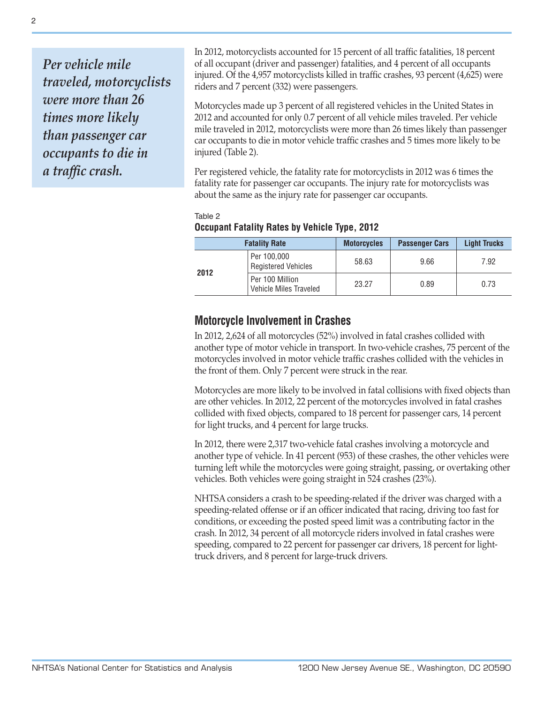*Per vehicle mile traveled, motorcyclists were more than 26 times more likely than passenger car occupants to die in a traffic crash.*

In 2012, motorcyclists accounted for 15 percent of all traffic fatalities, 18 percent of all occupant (driver and passenger) fatalities, and 4 percent of all occupants injured. Of the 4,957 motorcyclists killed in traffic crashes, 93 percent (4,625) were riders and 7 percent (332) were passengers.

Motorcycles made up 3 percent of all registered vehicles in the United States in 2012 and accounted for only 0.7 percent of all vehicle miles traveled. Per vehicle mile traveled in 2012, motorcyclists were more than 26 times likely than passenger car occupants to die in motor vehicle traffic crashes and 5 times more likely to be injured (Table 2).

Per registered vehicle, the fatality rate for motorcyclists in 2012 was 6 times the fatality rate for passenger car occupants. The injury rate for motorcyclists was about the same as the injury rate for passenger car occupants.

|      | <b>Fatality Rate</b>                      | <b>Motorcycles</b> | <b>Passenger Cars</b> | <b>Light Trucks</b> |
|------|-------------------------------------------|--------------------|-----------------------|---------------------|
| 2012 | Per 100,000<br><b>Registered Vehicles</b> | 58.63              | 9.66                  | 7.92                |
|      | Per 100 Million<br>Vehicle Miles Traveled | 23.27              | 0.89                  | 0.73                |

#### Table 2 **Occupant Fatality Rates by Vehicle Type, 2012**

## **Motorcycle Involvement in Crashes**

In 2012, 2,624 of all motorcycles (52%) involved in fatal crashes collided with another type of motor vehicle in transport. In two-vehicle crashes, 75 percent of the motorcycles involved in motor vehicle traffic crashes collided with the vehicles in the front of them. Only 7 percent were struck in the rear.

Motorcycles are more likely to be involved in fatal collisions with fixed objects than are other vehicles. In 2012, 22 percent of the motorcycles involved in fatal crashes collided with fixed objects, compared to 18 percent for passenger cars, 14 percent for light trucks, and 4 percent for large trucks.

In 2012, there were 2,317 two-vehicle fatal crashes involving a motorcycle and another type of vehicle. In 41 percent (953) of these crashes, the other vehicles were turning left while the motorcycles were going straight, passing, or overtaking other vehicles. Both vehicles were going straight in 524 crashes (23%).

NHTSA considers a crash to be speeding-related if the driver was charged with a speeding-related offense or if an officer indicated that racing, driving too fast for conditions, or exceeding the posted speed limit was a contributing factor in the crash. In 2012, 34 percent of all motorcycle riders involved in fatal crashes were speeding, compared to 22 percent for passenger car drivers, 18 percent for lighttruck drivers, and 8 percent for large-truck drivers.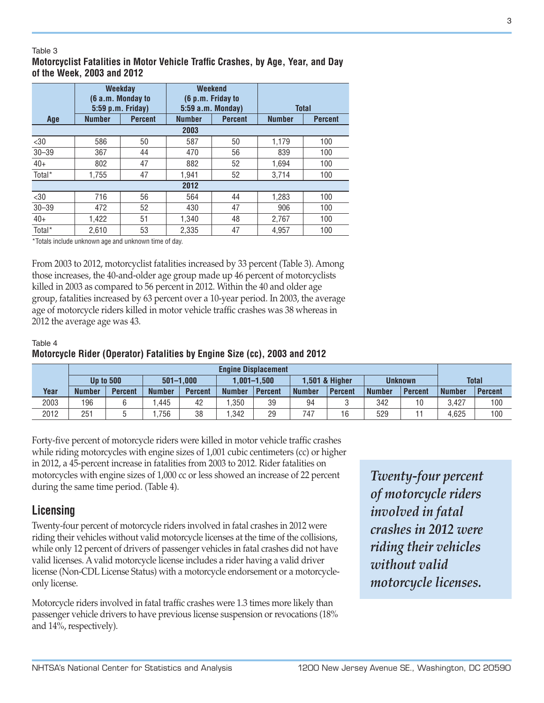#### Table 3

## **Motorcyclist Fatalities in Motor Vehicle Traffic Crashes, by Age, Year, and Day of the Week, 2003 and 2012**

|                    |               | Weekday<br>(6 a.m. Monday to<br>5:59 p.m. Friday) | Weekend<br>(6 p.m. Friday to<br>5:59 a.m. Monday) |                | <b>Total</b>  |                |  |
|--------------------|---------------|---------------------------------------------------|---------------------------------------------------|----------------|---------------|----------------|--|
| Age                | <b>Number</b> | <b>Percent</b>                                    | <b>Number</b>                                     | <b>Percent</b> | <b>Number</b> | <b>Percent</b> |  |
|                    |               |                                                   | 2003                                              |                |               |                |  |
| $30$               | 586           | 50                                                | 587                                               | 50             | 1,179         | 100            |  |
| $30 - 39$          | 367           | 44                                                | 470                                               | 56             | 839           | 100            |  |
| $40+$              | 802           | 47                                                | 882                                               | 52             | 1.694         | 100            |  |
| Total*             | 1.755         | 47                                                | 1,941                                             | 52             | 3.714         | 100            |  |
|                    |               |                                                   | 2012                                              |                |               |                |  |
| $30$               | 716           | 56                                                | 564                                               | 44             | 1,283         | 100            |  |
| $30 - 39$          | 472           | 52                                                | 430                                               | 47             | 906           | 100            |  |
| $40+$              | 1,422         | 51                                                | 1,340                                             | 48             | 2,767         | 100            |  |
| Total <sup>*</sup> | 2,610         | 53                                                | 2,335                                             | 47             | 4,957         | 100            |  |

\*Totals include unknown age and unknown time of day.

From 2003 to 2012, motorcyclist fatalities increased by 33 percent (Table 3). Among those increases, the 40-and-older age group made up 46 percent of motorcyclists killed in 2003 as compared to 56 percent in 2012. Within the 40 and older age group, fatalities increased by 63 percent over a 10-year period. In 2003, the average age of motorcycle riders killed in motor vehicle traffic crashes was 38 whereas in 2012 the average age was 43.

#### Table 4 **Motorcycle Rider (Operator) Fatalities by Engine Size (cc), 2003 and 2012**

|      | <b>Engine Displacement</b>                       |                |               |                |                |                |                |                |               |                |               |                |
|------|--------------------------------------------------|----------------|---------------|----------------|----------------|----------------|----------------|----------------|---------------|----------------|---------------|----------------|
|      | <b>Up to 500</b><br>$501 - 1.000$<br>1.001–1.500 |                |               |                | 1.501 & Hiaher |                | <b>Unknown</b> |                | <b>Total</b>  |                |               |                |
| Year | <b>Number</b>                                    | <b>Percent</b> | <b>Number</b> | <b>Percent</b> | <b>Number</b>  | <b>Percent</b> | <b>Number</b>  | <b>Percent</b> | <b>Number</b> | <b>Percent</b> | <b>Number</b> | <b>Percent</b> |
| 2003 | 196                                              |                | .445          | 42             | .350           | 39             | 94             |                | 342           | 10             | 3.427         | 100            |
| 2012 | 251                                              |                | .756          | 38             | .342           | 29             | 747            | 16             | 529           |                | 4.625         | 100            |

Forty-five percent of motorcycle riders were killed in motor vehicle traffic crashes while riding motorcycles with engine sizes of 1,001 cubic centimeters (cc) or higher in 2012, a 45-percent increase in fatalities from 2003 to 2012. Rider fatalities on motorcycles with engine sizes of 1,000 cc or less showed an increase of 22 percent during the same time period. (Table 4).

## **Licensing**

Twenty-four percent of motorcycle riders involved in fatal crashes in 2012 were riding their vehicles without valid motorcycle licenses at the time of the collisions, while only 12 percent of drivers of passenger vehicles in fatal crashes did not have valid licenses. A valid motorcycle license includes a rider having a valid driver license (Non-CDL License Status) with a motorcycle endorsement or a motorcycleonly license.

Motorcycle riders involved in fatal traffic crashes were 1.3 times more likely than passenger vehicle drivers to have previous license suspension or revocations (18% and 14%, respectively).

*Twenty-four percent of motorcycle riders involved in fatal crashes in 2012 were riding their vehicles without valid motorcycle licenses.*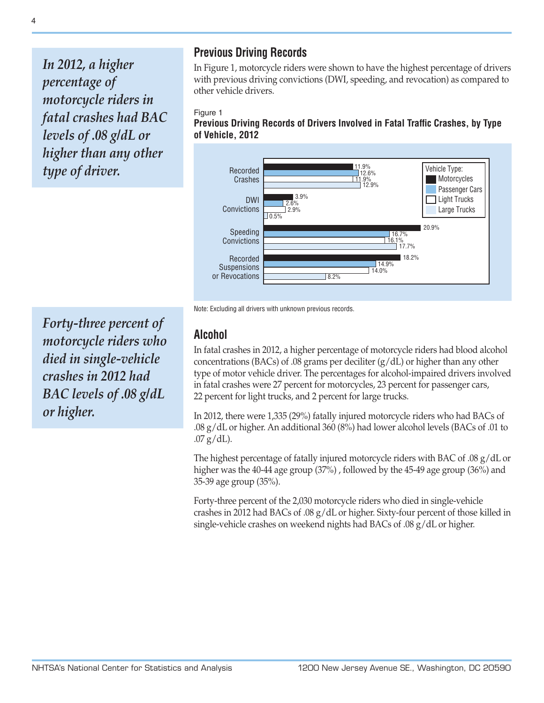*In 2012, a higher percentage of motorcycle riders in fatal crashes had BAC levels of .08 g/dL or higher than any other type of driver.*

## **Previous Driving Records**

In Figure 1, motorcycle riders were shown to have the highest percentage of drivers with previous driving convictions (DWI, speeding, and revocation) as compared to other vehicle drivers.

Figure 1





*Forty-three percent of motorcycle riders who died in single-vehicle crashes in 2012 had BAC levels of .08 g/dL or higher.*

Note: Excluding all drivers with unknown previous records.

## **Alcohol**

In fatal crashes in 2012, a higher percentage of motorcycle riders had blood alcohol concentrations (BACs) of .08 grams per deciliter  $(g/dL)$  or higher than any other type of motor vehicle driver. The percentages for alcohol-impaired drivers involved in fatal crashes were 27 percent for motorcycles, 23 percent for passenger cars, 22 percent for light trucks, and 2 percent for large trucks.

In 2012, there were 1,335 (29%) fatally injured motorcycle riders who had BACs of .08 g/dL or higher. An additional 360 (8%) had lower alcohol levels (BACs of .01 to  $.07$  g/dL).

The highest percentage of fatally injured motorcycle riders with BAC of .08 g/dL or higher was the 40-44 age group (37%) , followed by the 45-49 age group (36%) and 35-39 age group (35%).

Forty-three percent of the 2,030 motorcycle riders who died in single-vehicle crashes in 2012 had BACs of .08 g/dL or higher. Sixty-four percent of those killed in single-vehicle crashes on weekend nights had BACs of .08 g/dL or higher.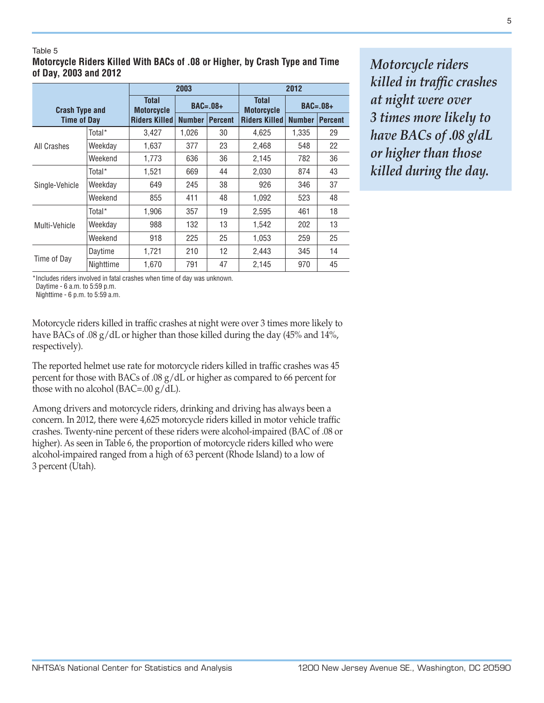#### Table 5 **Motorcycle Riders Killed With BACs of .08 or Higher, by Crash Type and Time of Day, 2003 and 2012**

|                       |           |                                                 | 2003          |                | 2012                              |               |                |  |
|-----------------------|-----------|-------------------------------------------------|---------------|----------------|-----------------------------------|---------------|----------------|--|
| <b>Crash Type and</b> |           | <b>Total</b><br>$BAC=.08+$<br><b>Motorcycle</b> |               |                | <b>Total</b><br><b>Motorcycle</b> | $BAC=.08+$    |                |  |
| <b>Time of Day</b>    |           | <b>Riders Killed</b>                            | <b>Number</b> | <b>Percent</b> | <b>Riders Killed</b>              | <b>Number</b> | <b>Percent</b> |  |
|                       | Total*    | 3,427                                           | 1,026         | 30             | 4,625                             | 1,335         | 29             |  |
| All Crashes           | Weekday   | 1,637                                           | 377           | 23             | 2,468                             | 548           | 22             |  |
|                       | Weekend   | 1,773                                           | 636           | 36             | 2,145                             | 782           | 36             |  |
|                       | Total*    | 1,521                                           | 669           | 44             | 2,030                             | 874           | 43             |  |
| Single-Vehicle        | Weekday   | 649                                             | 245           | 38             | 926                               | 346           | 37             |  |
|                       | Weekend   | 855                                             | 411           | 48             | 1,092                             | 523           | 48             |  |
|                       | Total*    | 1.906                                           | 357           | 19             | 2.595                             | 461           | 18             |  |
| Multi-Vehicle         | Weekday   | 988                                             | 132           | 13             | 1,542                             | 202           | 13             |  |
|                       | Weekend   | 918                                             | 225           | 25             | 1.053                             | 259           | 25             |  |
|                       | Daytime   | 1,721                                           | 210           | $12 \,$        | 2,443                             | 345           | 14             |  |
| Time of Day           | Nighttime | 1.670                                           | 791           | 47             | 2,145                             | 970           | 45             |  |

*Motorcycle riders killed in traffic crashes at night were over 3 times more likely to have BACs of .08 g/dL or higher than those killed during the day.*

\*Includes riders involved in fatal crashes when time of day was unknown. Daytime - 6 a.m. to 5:59 p.m.

Nighttime - 6 p.m. to 5:59 a.m.

Motorcycle riders killed in traffic crashes at night were over 3 times more likely to have BACs of .08 g/dL or higher than those killed during the day (45% and 14%, respectively).

The reported helmet use rate for motorcycle riders killed in traffic crashes was 45 percent for those with BACs of .08 g/dL or higher as compared to 66 percent for those with no alcohol (BAC=.00  $g/dL$ ).

Among drivers and motorcycle riders, drinking and driving has always been a concern. In 2012, there were 4,625 motorcycle riders killed in motor vehicle traffic crashes. Twenty-nine percent of these riders were alcohol-impaired (BAC of .08 or higher). As seen in Table 6, the proportion of motorcycle riders killed who were alcohol-impaired ranged from a high of 63 percent (Rhode Island) to a low of 3 percent (Utah).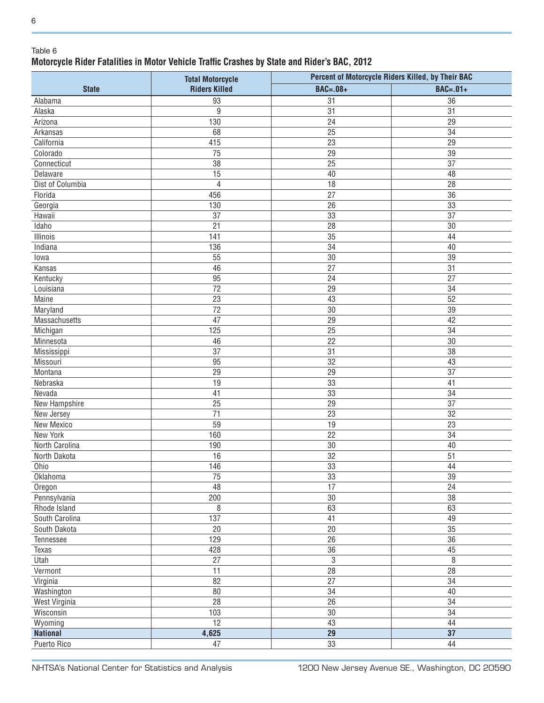## Table 6 **Motorcycle Rider Fatalities in Motor Vehicle Traffic Crashes by State and Rider's BAC, 2012**

|                  | <b>Total Motorcycle</b> | Percent of Motorcycle Riders Killed, by Their BAC |                 |  |  |
|------------------|-------------------------|---------------------------------------------------|-----------------|--|--|
| <b>State</b>     | <b>Riders Killed</b>    | <b>BAC=.08+</b>                                   | $BAC=.01+$      |  |  |
| Alabama          | 93                      | 31                                                | 36              |  |  |
| Alaska           | 9                       | $\overline{31}$                                   | $\overline{31}$ |  |  |
| Arizona          | 130                     | 24                                                | 29              |  |  |
| Arkansas         | 68                      | 25                                                | 34              |  |  |
| California       | 415                     | 23                                                | 29              |  |  |
| Colorado         | 75                      | 29                                                | 39              |  |  |
| Connecticut      | 38                      | 25                                                | 37              |  |  |
| Delaware         | 15                      | 40                                                | 48              |  |  |
| Dist of Columbia | $\sqrt{4}$              | 18                                                | 28              |  |  |
| Florida          | 456                     | 27                                                | $\overline{36}$ |  |  |
| Georgia          | 130                     | 26                                                | 33              |  |  |
| Hawaii           | 37                      | 33                                                | 37              |  |  |
| Idaho            | 21                      | 28                                                | $30\,$          |  |  |
| Illinois         | 141                     | 35                                                | 44              |  |  |
| Indiana          | 136                     | $\overline{34}$                                   | 40              |  |  |
| lowa             | 55                      | 30                                                | 39              |  |  |
| Kansas           | 46                      | 27                                                | 31              |  |  |
|                  | 95                      | $\overline{24}$                                   | $\overline{27}$ |  |  |
| Kentucky         |                         |                                                   |                 |  |  |
| Louisiana        | $\overline{72}$         | 29                                                | 34              |  |  |
| Maine            | 23                      | 43                                                | 52              |  |  |
| Maryland         | $\overline{72}$         | $\overline{30}$                                   | $\overline{39}$ |  |  |
| Massachusetts    | 47                      | 29                                                | 42              |  |  |
| Michigan         | 125                     | $\overline{25}$                                   | 34              |  |  |
| Minnesota        | 46                      | $\overline{22}$                                   | 30              |  |  |
| Mississippi      | $\overline{37}$         | 31                                                | 38              |  |  |
| Missouri         | 95                      | 32                                                | 43              |  |  |
| Montana          | 29                      | 29                                                | 37              |  |  |
| Nebraska         | 19                      | 33                                                | 41              |  |  |
| Nevada           | 41                      | 33                                                | 34              |  |  |
| New Hampshire    | 25                      | 29                                                | 37              |  |  |
| New Jersey       | 71                      | 23                                                | 32              |  |  |
| New Mexico       | 59                      | 19                                                | 23              |  |  |
| New York         | 160                     | 22                                                | 34              |  |  |
| North Carolina   | 190                     | 30                                                | 40              |  |  |
| North Dakota     | 16                      | 32                                                | 51              |  |  |
| Ohio             | 146                     | $\overline{33}$                                   | 44              |  |  |
| Oklahoma         | 75                      | 33                                                | 39              |  |  |
| Oregon           | 48                      | 17                                                | 24              |  |  |
| Pennsylvania     | 200                     | 30                                                | $\overline{38}$ |  |  |
| Rhode Island     | $\overline{8}$          | 63                                                | 63              |  |  |
| South Carolina   | 137                     | 41                                                | 49              |  |  |
| South Dakota     | 20                      | $\overline{20}$                                   | $\overline{35}$ |  |  |
| Tennessee        | $\overline{129}$        | $\overline{26}$                                   | $\overline{36}$ |  |  |
| Texas            | 428                     | $\overline{36}$                                   | 45              |  |  |
| Utah             | 27                      | $\overline{3}$                                    | 8               |  |  |
| Vermont          | 11                      | $\overline{28}$                                   | $\overline{28}$ |  |  |
| Virginia         | $\overline{82}$         | $\overline{27}$                                   | $\overline{34}$ |  |  |
| Washington       | 80                      | $\overline{34}$                                   | 40              |  |  |
| West Virginia    | $\overline{28}$         | $\overline{26}$                                   | $\overline{34}$ |  |  |
| Wisconsin        | 103                     | $\overline{30}$                                   | 34              |  |  |
| Wyoming          | $\overline{12}$         | 43                                                | 44              |  |  |
| <b>National</b>  | 4,625                   | 29                                                | 37              |  |  |
| Puerto Rico      | 47                      | 33                                                | 44              |  |  |
|                  |                         |                                                   |                 |  |  |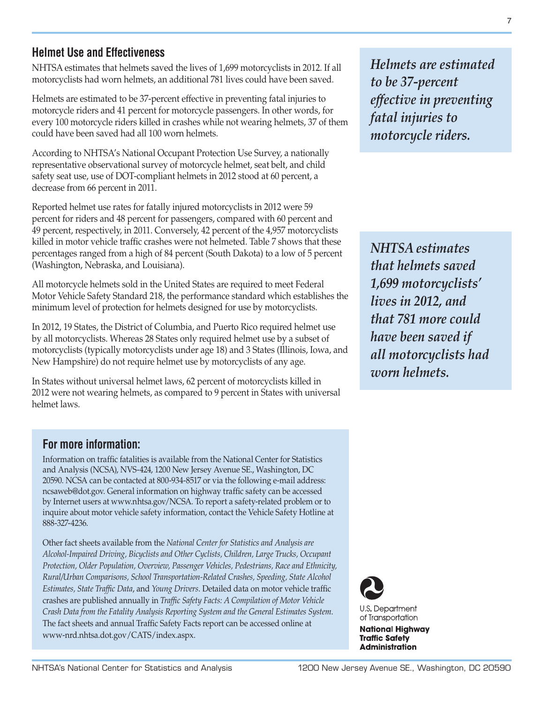## **Helmet Use and Effectiveness**

NHTSA estimates that helmets saved the lives of 1,699 motorcyclists in 2012. If all motorcyclists had worn helmets, an additional 781 lives could have been saved.

Helmets are estimated to be 37-percent effective in preventing fatal injuries to motorcycle riders and 41 percent for motorcycle passengers. In other words, for every 100 motorcycle riders killed in crashes while not wearing helmets, 37 of them could have been saved had all 100 worn helmets.

According to NHTSA's National Occupant Protection Use Survey, a nationally representative observational survey of motorcycle helmet, seat belt, and child safety seat use, use of DOT-compliant helmets in 2012 stood at 60 percent, a decrease from 66 percent in 2011.

Reported helmet use rates for fatally injured motorcyclists in 2012 were 59 percent for riders and 48 percent for passengers, compared with 60 percent and 49 percent, respectively, in 2011. Conversely, 42 percent of the 4,957 motorcyclists killed in motor vehicle traffic crashes were not helmeted. Table 7 shows that these percentages ranged from a high of 84 percent (South Dakota) to a low of 5 percent (Washington, Nebraska, and Louisiana).

All motorcycle helmets sold in the United States are required to meet Federal Motor Vehicle Safety Standard 218, the performance standard which establishes the minimum level of protection for helmets designed for use by motorcyclists.

In 2012, 19 States, the District of Columbia, and Puerto Rico required helmet use by all motorcyclists. Whereas 28 States only required helmet use by a subset of motorcyclists (typically motorcyclists under age 18) and 3 States (Illinois, Iowa, and New Hampshire) do not require helmet use by motorcyclists of any age.

In States without universal helmet laws, 62 percent of motorcyclists killed in 2012 were not wearing helmets, as compared to 9 percent in States with universal helmet laws.

*Helmets are estimated to be 37-percent effective in preventing fatal injuries to motorcycle riders.*

*NHTSA estimates that helmets saved 1,699 motorcyclists' lives in 2012, and that 781 more could have been saved if all motorcyclists had worn helmets.*

## **For more information:**

Information on traffic fatalities is available from the National Center for Statistics and Analysis (NCSA), NVS-424, 1200 New Jersey Avenue SE., Washington, DC 20590. NCSA can be contacted at 800-934-8517 or via the following e-mail address: [ncsaweb@dot.gov](mailto:ncsaweb%40dot.gov?subject=RE%3A%202010%20Data%20-%20Occupant%20Protection). General information on highway traffic safety can be accessed by Internet users at<www.nhtsa.gov/NCSA>. To report a safety-related problem or to inquire about motor vehicle safety information, contact the Vehicle Safety Hotline at 888-327-4236.

Other fact sheets available from the *National Center for Statistics and Analysis are Alcohol-Impaired Driving, Bicyclists and Other Cyclists, Children, Large Trucks, Occupant Protection, Older Population, Overview, Passenger Vehicles, Pedestrians, Race and Ethnicity, Rural/Urban Comparisons, School Transportation-Related Crashes, Speeding, State Alcohol Estimates, State Traffic Data*, and *Young Drivers*. Detailed data on motor vehicle traffic crashes are published annually in *Traffic Safety Facts: A Compilation of Motor Vehicle Crash Data from the Fatality Analysis Reporting System and the General Estimates System*. The fact sheets and annual Traffic Safety Facts report can be accessed online at www-nrd.nhtsa.dot.gov/CATS/index.aspx.

**National Highway Traffic Safety Administration**